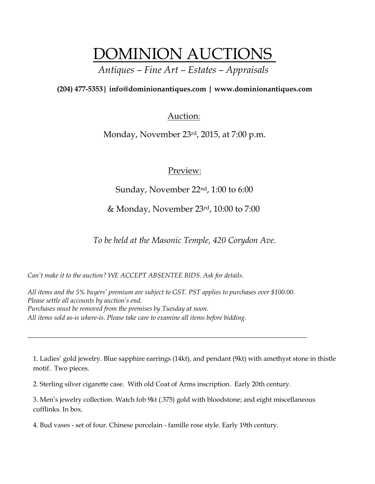# DOMINION AUCTIONS

# *Antiques – Fine Art – Estates – Appraisals*

## **(204) 477-5353| [info@dominionantiques.com | www.dominionantiques.com](mailto:info@dominionantiques.com%20%7C%20www.dominionantiques.com)**

## Auction:

Monday, November 23rd, 2015, at 7:00 p.m.

## Preview:

Sunday, November 22nd, 1:00 to 6:00

& Monday, November 23rd, 10:00 to 7:00

*To be held at the Masonic Temple, 420 Corydon Ave.*

*Can't make it to the auction? WE ACCEPT ABSENTEE BIDS. Ask for details.*

*All items and the 5% buyers' premium are subject to GST. PST applies to purchases over \$100.00. Please settle all accounts by auction's end. Purchases must be removed from the premises by Tuesday at noon. All items sold as-is where-is. Please take care to examine all items before bidding.*

*\_\_\_\_\_\_\_\_\_\_\_\_\_\_\_\_\_\_\_\_\_\_\_\_\_\_\_\_\_\_\_\_\_\_\_\_\_\_\_\_\_\_\_\_\_\_\_\_\_\_\_\_\_\_\_\_\_\_\_\_\_\_\_\_\_\_\_\_\_\_\_\_\_\_\_\_*

1. Ladies' gold jewelry. Blue sapphire earrings (14kt), and pendant (9kt) with amethyst stone in thistle motif. Two pieces.

2. Sterling silver cigarette case. With old Coat of Arms inscription. Early 20th century.

3. Men's jewelry collection. Watch fob 9kt (.375) gold with bloodstone; and eight miscellaneous cufflinks. In box.

4. Bud vases - set of four. Chinese porcelain - famille rose style. Early 19th century.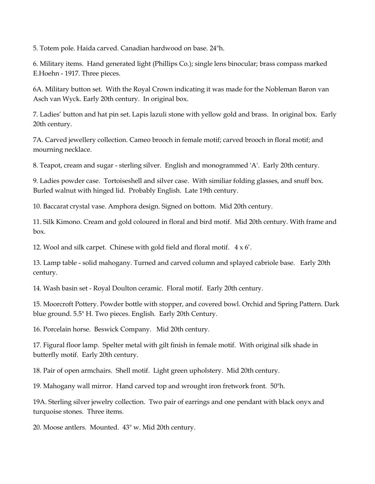5. Totem pole. Haida carved. Canadian hardwood on base. 24"h.

6. Military items. Hand generated light (Phillips Co.); single lens binocular; brass compass marked E.Hoehn - 1917. Three pieces.

6A. Military button set. With the Royal Crown indicating it was made for the Nobleman Baron van Asch van Wyck. Early 20th century. In original box.

7. Ladies' button and hat pin set. Lapis lazuli stone with yellow gold and brass. In original box. Early 20th century.

7A. Carved jewellery collection. Cameo brooch in female motif; carved brooch in floral motif; and mourning necklace.

8. Teapot, cream and sugar - sterling silver. English and monogrammed 'A'. Early 20th century.

9. Ladies powder case. Tortoiseshell and silver case. With similiar folding glasses, and snuff box. Burled walnut with hinged lid. Probably English. Late 19th century.

10. Baccarat crystal vase. Amphora design. Signed on bottom. Mid 20th century.

11. Silk Kimono. Cream and gold coloured in floral and bird motif. Mid 20th century. With frame and box.

12. Wool and silk carpet. Chinese with gold field and floral motif. 4 x 6'.

13. Lamp table - solid mahogany. Turned and carved column and splayed cabriole base. Early 20th century.

14. Wash basin set - Royal Doulton ceramic. Floral motif. Early 20th century.

15. Moorcroft Pottery. Powder bottle with stopper, and covered bowl. Orchid and Spring Pattern. Dark blue ground. 5.5" H. Two pieces. English. Early 20th Century.

16. Porcelain horse. Beswick Company. Mid 20th century.

17. Figural floor lamp. Spelter metal with gilt finish in female motif. With original silk shade in butterfly motif. Early 20th century.

18. Pair of open armchairs. Shell motif. Light green upholstery. Mid 20th century.

19. Mahogany wall mirror. Hand carved top and wrought iron fretwork front. 50"h.

19A. Sterling silver jewelry collection. Two pair of earrings and one pendant with black onyx and turquoise stones. Three items.

20. Moose antlers. Mounted. 43" w. Mid 20th century.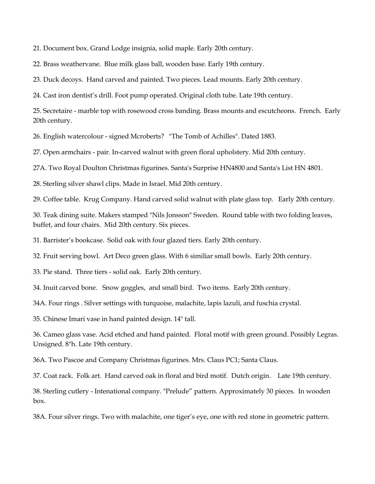21. Document box. Grand Lodge insignia, solid maple. Early 20th century.

22. Brass weathervane. Blue milk glass ball, wooden base. Early 19th century.

23. Duck decoys. Hand carved and painted. Two pieces. Lead mounts. Early 20th century.

24. Cast iron dentist's drill. Foot pump operated. Original cloth tube. Late 19th century.

25. Secretaire - marble top with rosewood cross banding. Brass mounts and escutcheons. French. Early 20th century.

26. English watercolour - signed Mcroberts? "The Tomb of Achilles". Dated 1883.

27. Open armchairs - pair. In-carved walnut with green floral upholstery. Mid 20th century.

27A. Two Royal Doulton Christmas figurines. Santa's Surprise HN4800 and Santa's List HN 4801.

28. Sterling silver shawl clips. Made in Israel. Mid 20th century.

29. Coffee table. Krug Company. Hand carved solid walnut with plate glass top. Early 20th century.

30. Teak dining suite. Makers stamped "Nils Jonsson" Sweden. Round table with two folding leaves, buffet, and four chairs. Mid 20th century. Six pieces.

31. Barrister's bookcase. Solid oak with four glazed tiers. Early 20th century.

32. Fruit serving bowl. Art Deco green glass. With 6 similiar small bowls. Early 20th century.

33. Pie stand. Three tiers - solid oak. Early 20th century.

34. Inuit carved bone. Snow goggles, and small bird. Two items. Early 20th century.

34A. Four rings . Silver settings with turquoise, malachite, lapis lazuli, and fuschia crystal.

35. Chinese Imari vase in hand painted design. 14" tall.

36. Cameo glass vase. Acid etched and hand painted. Floral motif with green ground. Possibly Legras. Unsigned. 8"h. Late 19th century.

36A. Two Pascoe and Company Christmas figurines. Mrs. Claus PC1; Santa Claus.

37. Coat rack. Folk art. Hand carved oak in floral and bird motif. Dutch origin. Late 19th century.

38. Sterling cutlery - Intenational company. "Prelude" pattern. Approximately 30 pieces. In wooden box.

38A. Four silver rings. Two with malachite, one tiger's eye, one with red stone in geometric pattern.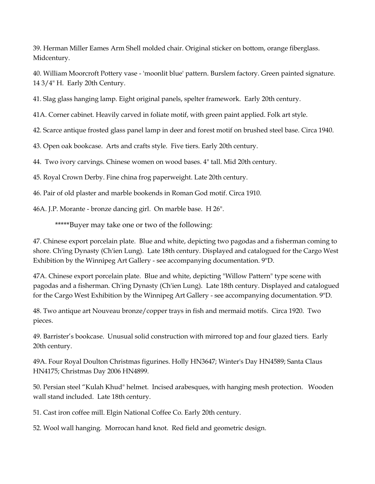39. Herman Miller Eames Arm Shell molded chair. Original sticker on bottom, orange fiberglass. Midcentury.

40. William Moorcroft Pottery vase - 'moonlit blue' pattern. Burslem factory. Green painted signature. 14 3/4" H. Early 20th Century.

41. Slag glass hanging lamp. Eight original panels, spelter framework. Early 20th century.

41A. Corner cabinet. Heavily carved in foliate motif, with green paint applied. Folk art style.

42. Scarce antique frosted glass panel lamp in deer and forest motif on brushed steel base. Circa 1940.

43. Open oak bookcase. Arts and crafts style. Five tiers. Early 20th century.

44. Two ivory carvings. Chinese women on wood bases. 4" tall. Mid 20th century.

45. Royal Crown Derby. Fine china frog paperweight. Late 20th century.

46. Pair of old plaster and marble bookends in Roman God motif. Circa 1910.

46A. J.P. Morante - bronze dancing girl. On marble base. H 26".

\*\*\*\*\*Buyer may take one or two of the following:

47. Chinese export porcelain plate. Blue and white, depicting two pagodas and a fisherman coming to shore. Ch'ing Dynasty (Ch'ien Lung). Late 18th century. Displayed and catalogued for the Cargo West Exhibition by the Winnipeg Art Gallery - see accompanying documentation. 9"D.

47A. Chinese export porcelain plate. Blue and white, depicting "Willow Pattern" type scene with pagodas and a fisherman. Ch'ing Dynasty (Ch'ien Lung). Late 18th century. Displayed and catalogued for the Cargo West Exhibition by the Winnipeg Art Gallery - see accompanying documentation. 9"D.

48. Two antique art Nouveau bronze/copper trays in fish and mermaid motifs. Circa 1920. Two pieces.

49. Barrister's bookcase. Unusual solid construction with mirrored top and four glazed tiers. Early 20th century.

49A. Four Royal Doulton Christmas figurines. Holly HN3647; Winter's Day HN4589; Santa Claus HN4175; Christmas Day 2006 HN4899.

50. Persian steel "Kulah Khud" helmet. Incised arabesques, with hanging mesh protection. Wooden wall stand included. Late 18th century.

51. Cast iron coffee mill. Elgin National Coffee Co. Early 20th century.

52. Wool wall hanging. Morrocan hand knot. Red field and geometric design.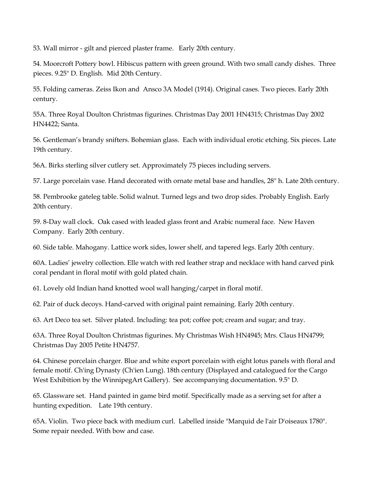53. Wall mirror - gilt and pierced plaster frame. Early 20th century.

54. Moorcroft Pottery bowl. Hibiscus pattern with green ground. With two small candy dishes. Three pieces. 9.25" D. English. Mid 20th Century.

55. Folding cameras. Zeiss Ikon and Ansco 3A Model (1914). Original cases. Two pieces. Early 20th century.

55A. Three Royal Doulton Christmas figurines. Christmas Day 2001 HN4315; Christmas Day 2002 HN4422; Santa.

56. Gentleman's brandy snifters. Bohemian glass. Each with individual erotic etching. Six pieces. Late 19th century.

56A. Birks sterling silver cutlery set. Approximately 75 pieces including servers.

57. Large porcelain vase. Hand decorated with ornate metal base and handles, 28" h. Late 20th century.

58. Pembrooke gateleg table. Solid walnut. Turned legs and two drop sides. Probably English. Early 20th century.

59. 8-Day wall clock. Oak cased with leaded glass front and Arabic numeral face. New Haven Company. Early 20th century.

60. Side table. Mahogany. Lattice work sides, lower shelf, and tapered legs. Early 20th century.

60A. Ladies' jewelry collection. Elle watch with red leather strap and necklace with hand carved pink coral pendant in floral motif with gold plated chain.

61. Lovely old Indian hand knotted wool wall hanging/carpet in floral motif.

62. Pair of duck decoys. Hand-carved with original paint remaining. Early 20th century.

63. Art Deco tea set. Silver plated. Including: tea pot; coffee pot; cream and sugar; and tray.

63A. Three Royal Doulton Christmas figurines. My Christmas Wish HN4945; Mrs. Claus HN4799; Christmas Day 2005 Petite HN4757.

64. Chinese porcelain charger. Blue and white export porcelain with eight lotus panels with floral and female motif. Ch'ing Dynasty (Ch'ien Lung). 18th century (Displayed and catalogued for the Cargo West Exhibition by the WinnipegArt Gallery). See accompanying documentation. 9.5" D.

65. Glassware set. Hand painted in game bird motif. Specifically made as a serving set for after a hunting expedition. Late 19th century.

65A. Violin. Two piece back with medium curl. Labelled inside "Marquid de l'air D'oiseaux 1780". Some repair needed. With bow and case.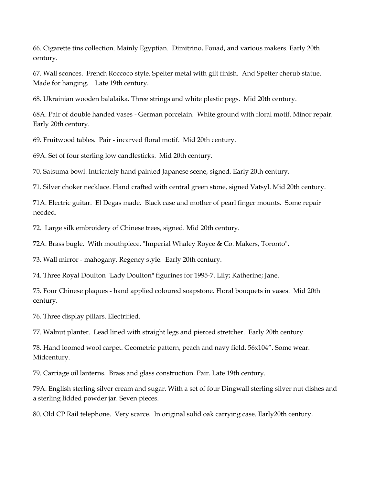66. Cigarette tins collection. Mainly Egyptian. Dimitrino, Fouad, and various makers. Early 20th century.

67. Wall sconces. French Roccoco style. Spelter metal with gilt finish. And Spelter cherub statue. Made for hanging. Late 19th century.

68. Ukrainian wooden balalaika. Three strings and white plastic pegs. Mid 20th century.

68A. Pair of double handed vases - German porcelain. White ground with floral motif. Minor repair. Early 20th century.

69. Fruitwood tables. Pair - incarved floral motif. Mid 20th century.

69A. Set of four sterling low candlesticks. Mid 20th century.

70. Satsuma bowl. Intricately hand painted Japanese scene, signed. Early 20th century.

71. Silver choker necklace. Hand crafted with central green stone, signed Vatsyl. Mid 20th century.

71A. Electric guitar. El Degas made. Black case and mother of pearl finger mounts. Some repair needed.

72. Large silk embroidery of Chinese trees, signed. Mid 20th century.

72A. Brass bugle. With mouthpiece. "Imperial Whaley Royce & Co. Makers, Toronto".

73. Wall mirror - mahogany. Regency style. Early 20th century.

74. Three Royal Doulton "Lady Doulton" figurines for 1995-7. Lily; Katherine; Jane.

75. Four Chinese plaques - hand applied coloured soapstone. Floral bouquets in vases. Mid 20th century.

76. Three display pillars. Electrified.

77. Walnut planter. Lead lined with straight legs and pierced stretcher. Early 20th century.

78. Hand loomed wool carpet. Geometric pattern, peach and navy field. 56x104". Some wear. Midcentury.

79. Carriage oil lanterns. Brass and glass construction. Pair. Late 19th century.

79A. English sterling silver cream and sugar. With a set of four Dingwall sterling silver nut dishes and a sterling lidded powder jar. Seven pieces.

80. Old CP Rail telephone. Very scarce. In original solid oak carrying case. Early20th century.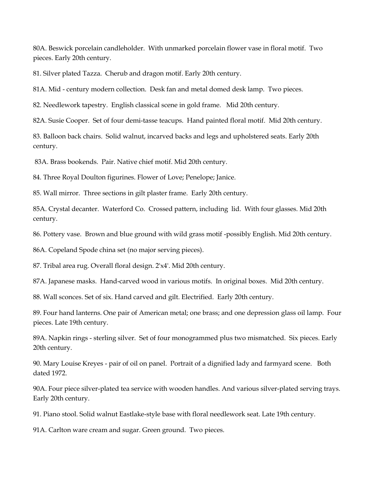80A. Beswick porcelain candleholder. With unmarked porcelain flower vase in floral motif. Two pieces. Early 20th century.

81. Silver plated Tazza. Cherub and dragon motif. Early 20th century.

81A. Mid - century modern collection. Desk fan and metal domed desk lamp. Two pieces.

82. Needlework tapestry. English classical scene in gold frame. Mid 20th century.

82A. Susie Cooper. Set of four demi-tasse teacups. Hand painted floral motif. Mid 20th century.

83. Balloon back chairs. Solid walnut, incarved backs and legs and upholstered seats. Early 20th century.

83A. Brass bookends. Pair. Native chief motif. Mid 20th century.

84. Three Royal Doulton figurines. Flower of Love; Penelope; Janice.

85. Wall mirror. Three sections in gilt plaster frame. Early 20th century.

85A. Crystal decanter. Waterford Co. Crossed pattern, including lid. With four glasses. Mid 20th century.

86. Pottery vase. Brown and blue ground with wild grass motif -possibly English. Mid 20th century.

86A. Copeland Spode china set (no major serving pieces).

87. Tribal area rug. Overall floral design. 2'x4'. Mid 20th century.

87A. Japanese masks. Hand-carved wood in various motifs. In original boxes. Mid 20th century.

88. Wall sconces. Set of six. Hand carved and gilt. Electrified. Early 20th century.

89. Four hand lanterns. One pair of American metal; one brass; and one depression glass oil lamp. Four pieces. Late 19th century.

89A. Napkin rings - sterling silver. Set of four monogrammed plus two mismatched. Six pieces. Early 20th century.

90. Mary Louise Kreyes - pair of oil on panel. Portrait of a dignified lady and farmyard scene. Both dated 1972.

90A. Four piece silver-plated tea service with wooden handles. And various silver-plated serving trays. Early 20th century.

91. Piano stool. Solid walnut Eastlake-style base with floral needlework seat. Late 19th century.

91A. Carlton ware cream and sugar. Green ground. Two pieces.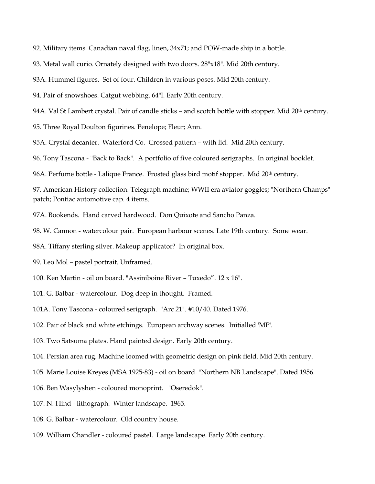92. Military items. Canadian naval flag, linen, 34x71; and POW-made ship in a bottle.

93. Metal wall curio. Ornately designed with two doors. 28"x18". Mid 20th century.

93A. Hummel figures. Set of four. Children in various poses. Mid 20th century.

94. Pair of snowshoes. Catgut webbing. 64"l. Early 20th century.

94A. Val St Lambert crystal. Pair of candle sticks – and scotch bottle with stopper. Mid 20<sup>th</sup> century.

95. Three Royal Doulton figurines. Penelope; Fleur; Ann.

95A. Crystal decanter. Waterford Co. Crossed pattern – with lid. Mid 20th century.

96. Tony Tascona - "Back to Back". A portfolio of five coloured serigraphs. In original booklet.

96A. Perfume bottle - Lalique France. Frosted glass bird motif stopper. Mid 20<sup>th</sup> century.

97. American History collection. Telegraph machine; WWII era aviator goggles; "Northern Champs" patch; Pontiac automotive cap. 4 items.

97A. Bookends. Hand carved hardwood. Don Quixote and Sancho Panza.

98. W. Cannon - watercolour pair. European harbour scenes. Late 19th century. Some wear.

98A. Tiffany sterling silver. Makeup applicator? In original box.

99. Leo Mol – pastel portrait. Unframed.

100. Ken Martin - oil on board. "Assiniboine River – Tuxedo". 12 x 16".

101. G. Balbar - watercolour. Dog deep in thought. Framed.

101A. Tony Tascona - coloured serigraph. "Arc 21". #10/40. Dated 1976.

102. Pair of black and white etchings. European archway scenes. Initialled 'MP'.

103. Two Satsuma plates. Hand painted design. Early 20th century.

104. Persian area rug. Machine loomed with geometric design on pink field. Mid 20th century.

105. Marie Louise Kreyes (MSA 1925-83) - oil on board. "Northern NB Landscape". Dated 1956.

106. Ben Wasylyshen - coloured monoprint. "Oseredok".

107. N. Hind - lithograph. Winter landscape. 1965.

108. G. Balbar - watercolour. Old country house.

109. William Chandler - coloured pastel. Large landscape. Early 20th century.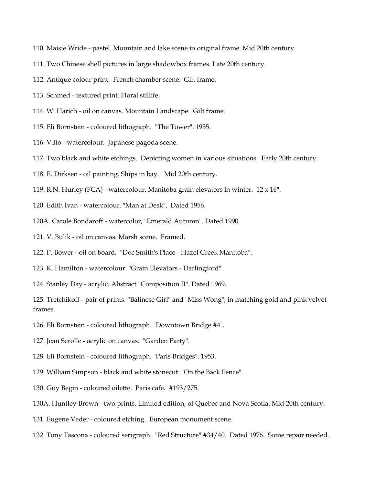- 110. Maisie Wride pastel. Mountain and lake scene in original frame. Mid 20th century.
- 111. Two Chinese shell pictures in large shadowbox frames. Late 20th century.
- 112. Antique colour print. French chamber scene. Gilt frame.
- 113. Schmed textured print. Floral stillife.
- 114. W. Harich oil on canvas. Mountain Landscape. Gilt frame.
- 115. Eli Bornstein coloured lithograph. "The Tower". 1955.
- 116. V.Ito watercolour. Japanese pagoda scene.
- 117. Two black and white etchings. Depicting women in various situations. Early 20th century.
- 118. E. Dirksen oil painting. Ships in bay. Mid 20th century.
- 119. R.N. Hurley (FCA) watercolour. Manitoba grain elevators in winter. 12 x 16".
- 120. Edith Ivan watercolour. "Man at Desk". Dated 1956.
- 120A. Carole Bondaroff watercolor, "Emerald Autumn". Dated 1990.
- 121. V. Bulik oil on canvas. Marsh scene. Framed.
- 122. P. Bower oil on board. "Doc Smith's Place Hazel Creek Manitoba".
- 123. K. Hamilton watercolour. "Grain Elevators Darlingford".
- 124. Stanley Day acrylic. Abstract "Composition II". Dated 1969.

125. Tretchikoff - pair of prints. "Balinese Girl" and "Miss Wong", in matching gold and pink velvet frames.

- 126. Eli Bornstein coloured lithograph. "Downtown Bridge #4".
- 127. Jean Serolle acrylic on canvas. "Garden Party".
- 128. Eli Bornstein coloured lithograph. "Paris Bridges". 1953.
- 129. William Simpson black and white stonecut. "On the Back Fence".
- 130. Guy Begin coloured oilette. Paris cafe. #193/275.
- 130A. Huntley Brown two prints. Limited edition, of Quebec and Nova Scotia. Mid 20th century.
- 131. Eugene Veder coloured etching. European monument scene.
- 132. Tony Tascona coloured serigraph. "Red Structure" #34/40. Dated 1976. Some repair needed.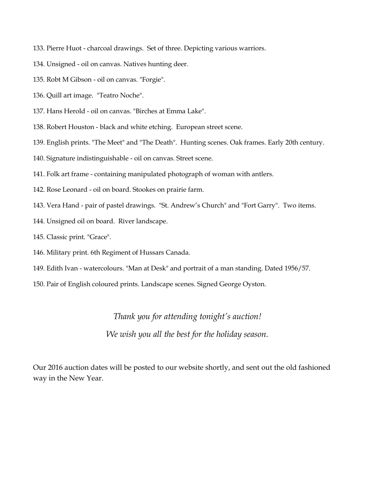- 133. Pierre Huot charcoal drawings. Set of three. Depicting various warriors.
- 134. Unsigned oil on canvas. Natives hunting deer.
- 135. Robt M Gibson oil on canvas. "Forgie".
- 136. Quill art image. "Teatro Noche".
- 137. Hans Herold oil on canvas. "Birches at Emma Lake".
- 138. Robert Houston black and white etching. European street scene.
- 139. English prints. "The Meet" and "The Death". Hunting scenes. Oak frames. Early 20th century.
- 140. Signature indistinguishable oil on canvas. Street scene.
- 141. Folk art frame containing manipulated photograph of woman with antlers.
- 142. Rose Leonard oil on board. Stookes on prairie farm.
- 143. Vera Hand pair of pastel drawings. "St. Andrew's Church" and "Fort Garry". Two items.
- 144. Unsigned oil on board. River landscape.
- 145. Classic print. "Grace".
- 146. Military print. 6th Regiment of Hussars Canada.
- 149. Edith Ivan watercolours. "Man at Desk" and portrait of a man standing. Dated 1956/57.
- 150. Pair of English coloured prints. Landscape scenes. Signed George Oyston.

#### *Thank you for attending tonight's auction!*

*We wish you all the best for the holiday season.*

Our 2016 auction dates will be posted to our website shortly, and sent out the old fashioned way in the New Year.